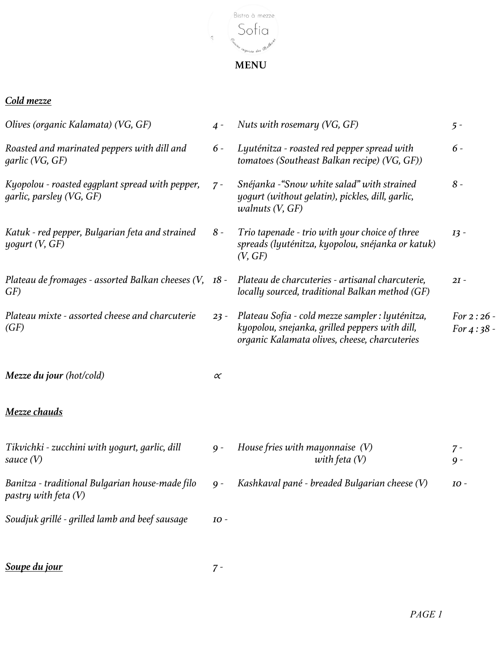

 $\mathcal{O}^*$ 

## *Cold mezze*

| Olives (organic Kalamata) (VG, GF)                                                                             | $4 -$    | Nuts with rosemary (VG, GF)                                                                                                                         | $5 -$                        |
|----------------------------------------------------------------------------------------------------------------|----------|-----------------------------------------------------------------------------------------------------------------------------------------------------|------------------------------|
| Roasted and marinated peppers with dill and<br>qarlic (VG, GF)                                                 | $6-$     | Lyuténitza - roasted red pepper spread with<br>tomatoes (Southeast Balkan recipe) (VG, GF))                                                         | $6 -$                        |
| Kyopolou - roasted eggplant spread with pepper,<br>garlic, parsley (VG, GF)                                    | $7 -$    | Snéjanka - "Snow white salad" with strained<br>yogurt (without gelatin), pickles, dill, garlic,<br><i>walnuts</i> $(V, GF)$                         | $8-$                         |
| Katuk - red pepper, Bulgarian feta and strained<br>$\mu$ oqurt (V, GF)                                         | $8-$     | Trio tapenade - trio with your choice of three<br>spreads (lyuténitza, kyopolou, snéjanka or katuk)<br>(V, GF)                                      | $I3 -$                       |
| Plateau de fromages - assorted Balkan cheeses (V, 18 - Plateau de charcuteries - artisanal charcuterie,<br>GF) |          | locally sourced, traditional Balkan method (GF)                                                                                                     | $2I -$                       |
| Plateau mixte - assorted cheese and charcuterie<br>(GF)                                                        | $23 -$   | Plateau Sofia - cold mezze sampler : lyuténitza,<br>kyopolou, snejanka, grilled peppers with dill,<br>organic Kalamata olives, cheese, charcuteries | For $2:26$ -<br>For $4:38$ - |
| Mezze du jour (hot/cold)                                                                                       | $\alpha$ |                                                                                                                                                     |                              |
| <u>Mezze chauds</u>                                                                                            |          |                                                                                                                                                     |                              |
| Tikvichki - zucchini with yogurt, garlic, dill<br>sauce (V)                                                    | $9 -$    | House fries with mayonnaise $(V)$<br>with feta $(V)$                                                                                                | $7 -$<br>$9 -$               |
| Banitza - traditional Bulgarian house-made filo<br>pastry with feta (V)                                        | $9 -$    | Kashkaval pané - breaded Bulgarian cheese (V)                                                                                                       | IO -                         |
| Soudjuk grillé - grilled lamb and beef sausage                                                                 | IO -     |                                                                                                                                                     |                              |
|                                                                                                                |          |                                                                                                                                                     |                              |